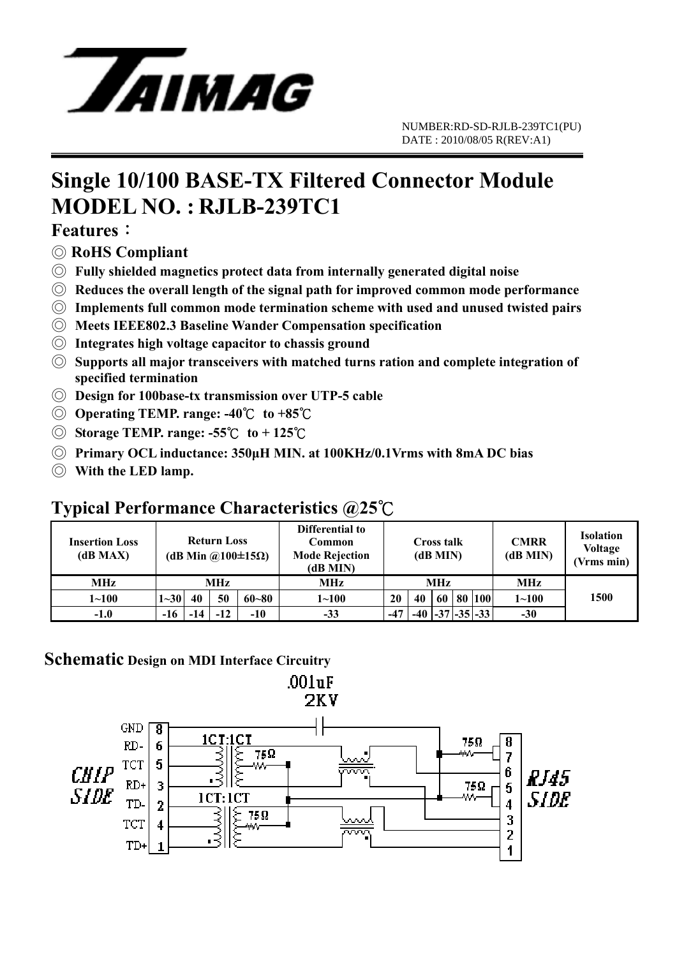

# **Single 10/100 BASE-TX Filtered Connector Module MODEL NO. : RJLB-239TC1**

#### **Features**:

- ◎ **RoHS Compliant**
- ◎ **Fully shielded magnetics protect data from internally generated digital noise**
- ◎ **Reduces the overall length of the signal path for improved common mode performance**
- ◎ **Implements full common mode termination scheme with used and unused twisted pairs**
- ◎ **Meets IEEE802.3 Baseline Wander Compensation specification**
- ◎ **Integrates high voltage capacitor to chassis ground**
- ◎ **Supports all major transceivers with matched turns ration and complete integration of specified termination**
- ◎ **Design for 100base-tx transmission over UTP-5 cable**
- ◎ **Operating TEMP. range: -40**℃ **to +85**℃
- ◎ **Storage TEMP. range: -55**℃ **to + 125**℃
- ◎ **Primary OCL inductance: 350μH MIN. at 100KHz/0.1Vrms with 8mA DC bias**
- ◎ **With the LED lamp.**

### **Typical Performance Characteristics @25**℃

| <b>Insertion Loss</b><br>(dB MAX) | <b>Return Loss</b><br>(dB Min @100 $\pm$ 15 $\Omega$ ) |     |       |           | Differential to<br>Common<br><b>Mode Rejection</b><br>(dB MIN) | <b>Cross talk</b><br>(dB MIN) |       |    |  | <b>CMRR</b><br>$(dB$ MIN $)$ | <b>Isolation</b><br><b>Voltage</b><br>(Vrms min) |      |
|-----------------------------------|--------------------------------------------------------|-----|-------|-----------|----------------------------------------------------------------|-------------------------------|-------|----|--|------------------------------|--------------------------------------------------|------|
| <b>MHz</b>                        | MHz                                                    |     |       |           | MHz                                                            | <b>MHz</b>                    |       |    |  |                              | MHz                                              |      |
| $1 - 100$                         | $1 - 30$                                               | 40  | 50    | $60 - 80$ | $1 - 100$                                                      | 20                            | 40    | 60 |  | 80 100                       | $1 - 100$                                        | 1500 |
| $-1.0$                            | -16                                                    | -14 | $-12$ | -10       | $-33$                                                          | $-47$                         | $-40$ |    |  | $ -37 -35 -33 $              | $-30$                                            |      |

#### **Schematic Design on MDI Interface Circuitry**

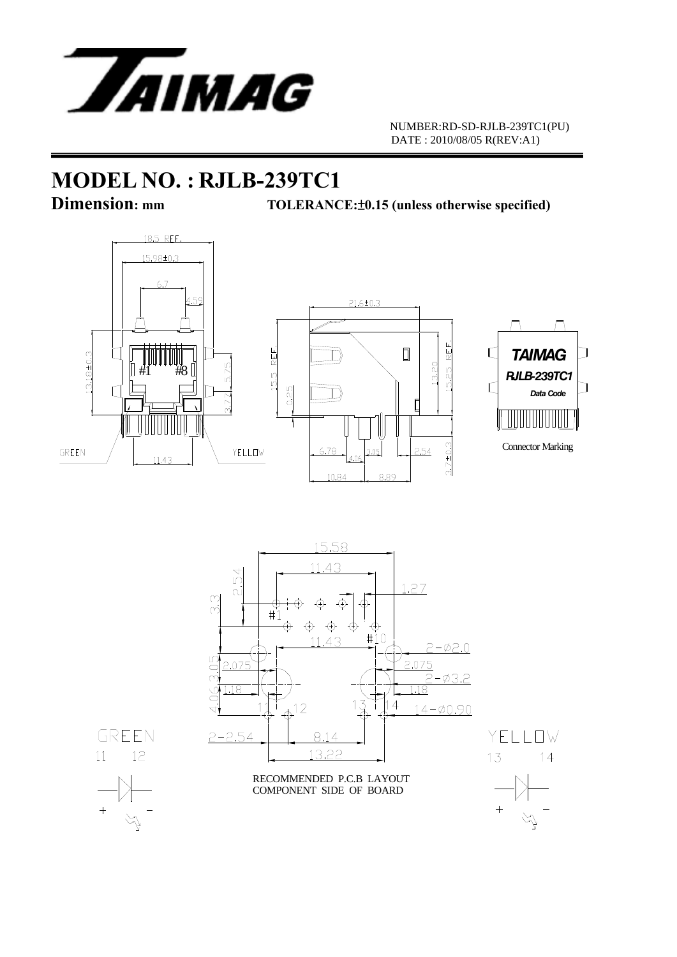

 NUMBER:RD-SD-RJLB-239TC1(PU) DATE : 2010/08/05 R(REV:A1)

## **MODEL NO. : RJLB-239TC1**

**Dimension:** mm TOLERANCE:  $\pm 0.15$  (unless otherwise specified)



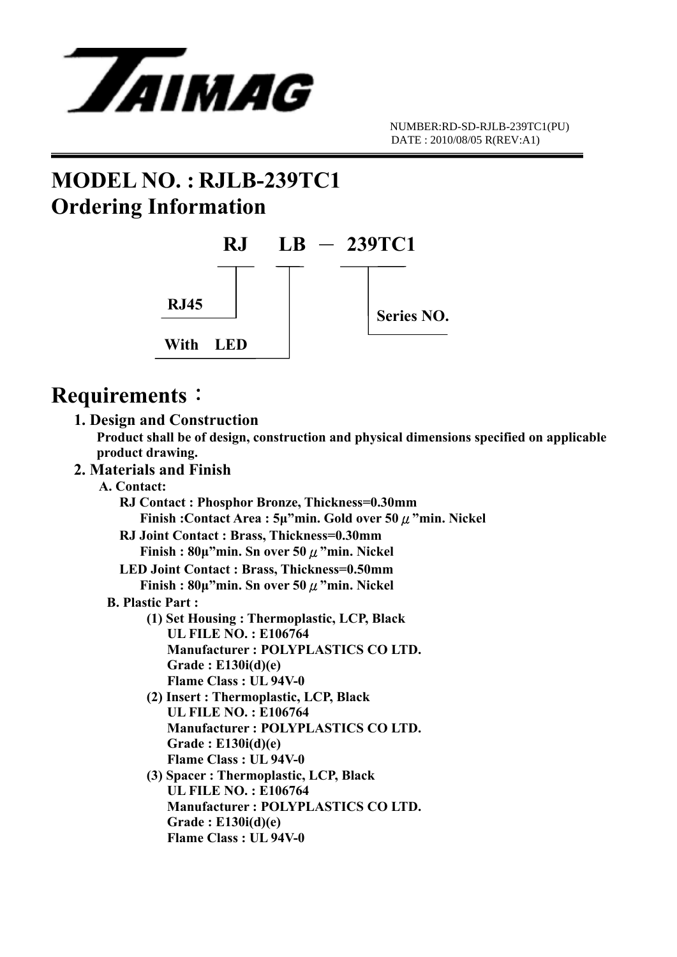

# **MODEL NO. : RJLB-239TC1 Ordering Information**



## **Requirements**:

#### **1. Design and Construction**

 **Product shall be of design, construction and physical dimensions specified on applicable product drawing.** 

#### **2. Materials and Finish**

 **A. Contact: RJ Contact : Phosphor Bronze, Thickness=0.30mm Finish :Contact Area : 5μ"min. Gold over 50**μ**"min. Nickel RJ Joint Contact : Brass, Thickness=0.30mm Finish : 80μ"min. Sn over 50**μ**"min. Nickel LED Joint Contact : Brass, Thickness=0.50mm Finish : 80μ"min. Sn over 50**μ**"min. Nickel B. Plastic Part : (1) Set Housing : Thermoplastic, LCP, Black UL FILE NO. : E106764 Manufacturer : POLYPLASTICS CO LTD. Grade : E130i(d)(e) Flame Class : UL 94V-0 (2) Insert : Thermoplastic, LCP, Black UL FILE NO. : E106764 Manufacturer : POLYPLASTICS CO LTD. Grade : E130i(d)(e) Flame Class : UL 94V-0 (3) Spacer : Thermoplastic, LCP, Black UL FILE NO. : E106764** 

 **Manufacturer : POLYPLASTICS CO LTD. Grade : E130i(d)(e) Flame Class : UL 94V-0**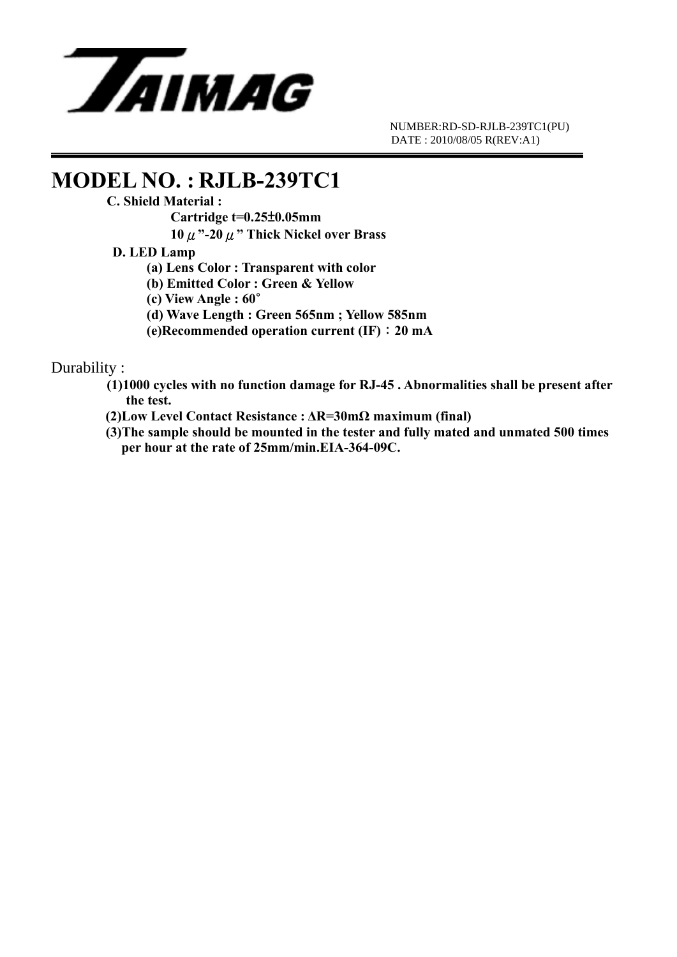

 NUMBER:RD-SD-RJLB-239TC1(PU) DATE : 2010/08/05 R(REV:A1)

# **MODEL NO. : RJLB-239TC1**<br>C. Shield Material :

 **Cartridge t=0.25**±**0.05mm** 

 **10**μ**"-20**μ**" Thick Nickel over Brass** 

#### **D. LED Lamp**

 **(a) Lens Color : Transparent with color** 

 **(b) Emitted Color : Green & Yellow** 

 **(c) View Angle : 60**∘

 **(d) Wave Length : Green 565nm ; Yellow 585nm** 

 **(e)Recommended operation current (IF)**:**20 mA**

#### Durability :

 **(1)1000 cycles with no function damage for RJ-45 . Abnormalities shall be present after the test.** 

 **(2)Low Level Contact Resistance : ΔR=30mΩ maximum (final)** 

**(3)The sample should be mounted in the tester and fully mated and unmated 500 times per hour at the rate of 25mm/min.EIA-364-09C.**